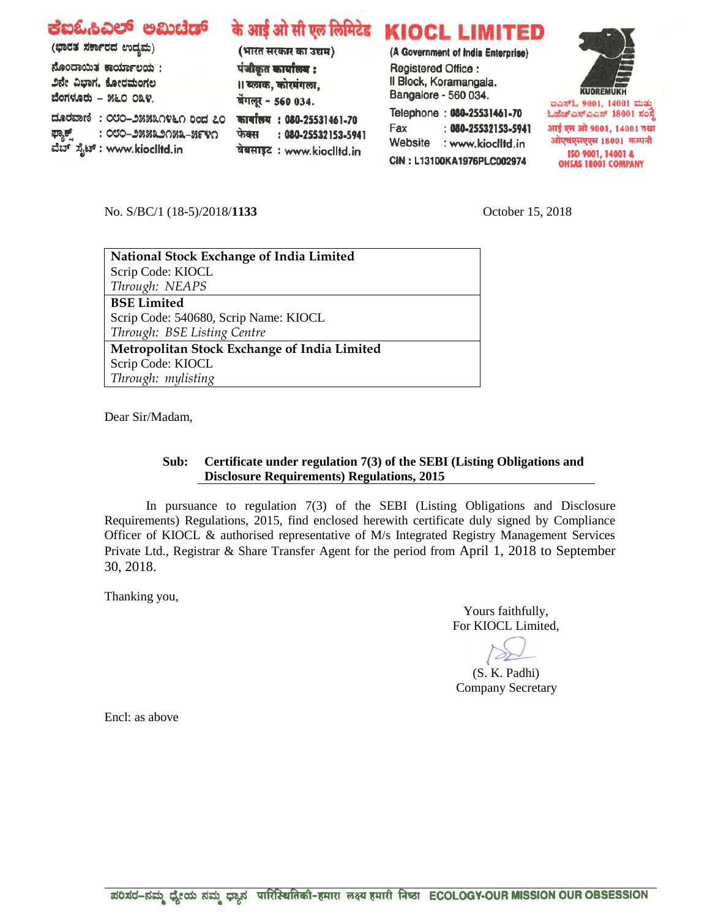| ಕಐಓಹಿವಿಲ್ ಅಮಿಟೆಡ್<br>(ಭಾರತ ಸರ್ಕಾರದ ಉದ್ಯಮ)<br>ನೊಂದಾಯಿತ ಕಾರ್ಯಾಲಯ:<br>೨ನೇ ವಿಭಾಗ, ಕೋರಮಂಗಲ<br>ಬೆಂಗಳೂರು - ೫೬೦ ೦೩೪.<br>ದೂರವಾಣಿ: ೦೮೦–೨೫೫೩೧೪೬೧ ರಿಂದ ೭೦<br>: ೦೮೦–೨೫೫೩೨೧೫೩–೫೯೪೧<br>ಫ್ಯಾಕ್ಸ್       : ೦೮೦–೨೫೫೩೨೧೫೩-<br>ವೆಬ್ ಸೈಟ್ : www.kiocIItd.in | (भारत सरकार का उद्यम)<br>पंजीकृत कार्यालय :<br>।। ब्लाक, कोरमंगला,<br>बेंगलूर - 560 034.<br>कार्यालय: 080-25531461-70<br>: 080-25532153-5941<br>फेक्स | के आई ओ सी एल लिमिटेड KIOCL LIMITED<br>(A Government of India Enterprise)<br>Registered Office:<br>Il Block, Koramangala.<br>Bangalore - 560 034.<br>Telephone: 080-25531461-70<br>$\therefore$ 080-25532153-5941<br>Fax<br>Website<br>: www.kioclltd.in | <b>KUDREMUKH</b><br>ಐಎಸ್ಓ 9001, 14001 ಮತು<br>ಓಹೆಚ್ಎಸ್ಎಎಸ್ 18001 ಸಂಸ್ಥೆ<br>आई एस ओ 9001, 14001 तथा<br>ओएचएसएएस 18001 कम्पनी |
|---------------------------------------------------------------------------------------------------------------------------------------------------------------------------------------------------------------------------------------|-------------------------------------------------------------------------------------------------------------------------------------------------------|----------------------------------------------------------------------------------------------------------------------------------------------------------------------------------------------------------------------------------------------------------|----------------------------------------------------------------------------------------------------------------------------|
|                                                                                                                                                                                                                                       | वेबसाइट: www.kioclltd.in                                                                                                                              | CIN: L13100KA1976PLC002974                                                                                                                                                                                                                               | ISO 9001, 14001 &<br><b>OUCAC 19001 COMPANY</b>                                                                            |

No. S/BC/1 (18-5)/2018/**1133** October 15, 2018

Dear Sir/Madam,

## **Sub: Certificate under regulation 7(3) of the SEBI (Listing Obligations and Disclosure Requirements) Regulations, 2015**

In pursuance to regulation 7(3) of the SEBI (Listing Obligations and Disclosure Requirements) Regulations, 2015, find enclosed herewith certificate duly signed by Compliance Officer of KIOCL & authorised representative of M/s Integrated Registry Management Services Private Ltd., Registrar & Share Transfer Agent for the period from April 1, 2018 to September 30, 2018.

Thanking you,

Yours faithfully, For KIOCL Limited,

(S. K. Padhi) Company Secretary

Encl: as above